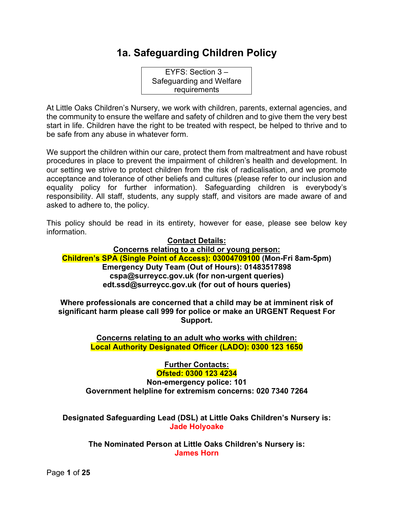# **1a. Safeguarding Children Policy**

EYFS: Section 3 – Safeguarding and Welfare requirements

At Little Oaks Children's Nursery, we work with children, parents, external agencies, and the community to ensure the welfare and safety of children and to give them the very best start in life. Children have the right to be treated with respect, be helped to thrive and to be safe from any abuse in whatever form.

We support the children within our care, protect them from maltreatment and have robust procedures in place to prevent the impairment of children's health and development. In our setting we strive to protect children from the risk of radicalisation, and we promote acceptance and tolerance of other beliefs and cultures (please refer to our inclusion and equality policy for further information). Safeguarding children is everybody's responsibility. All staff, students, any supply staff, and visitors are made aware of and asked to adhere to, the policy.

This policy should be read in its entirety, however for ease, please see below key information.

#### **Contact Details: Concerns relating to a child or young person: Children's SPA (Single Point of Access): 03004709100 (Mon-Fri 8am-5pm) Emergency Duty Team (Out of Hours): 01483517898 cspa@surreycc.gov.uk (for non-urgent queries) edt.ssd@surreycc.gov.uk (for out of hours queries)**

**Where professionals are concerned that a child may be at imminent risk of significant harm please call 999 for police or make an URGENT Request For Support.**

> **Concerns relating to an adult who works with children: Local Authority Designated Officer (LADO): 0300 123 1650**

**Further Contacts: Ofsted: 0300 123 4234 Non-emergency police: 101 Government helpline for extremism concerns: 020 7340 7264**

**Designated Safeguarding Lead (DSL) at Little Oaks Children's Nursery is: Jade Holyoake**

**The Nominated Person at Little Oaks Children's Nursery is: James Horn**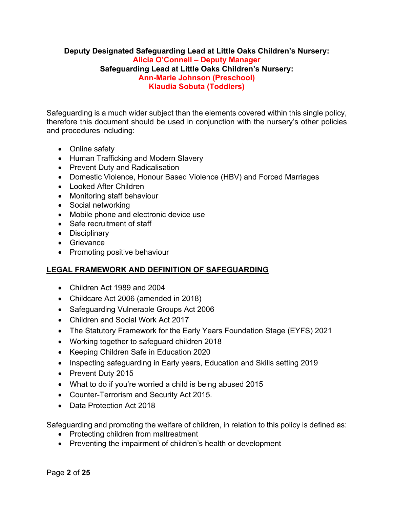#### **Deputy Designated Safeguarding Lead at Little Oaks Children's Nursery: Alicia O'Connell – Deputy Manager Safeguarding Lead at Little Oaks Children's Nursery: Ann-Marie Johnson (Preschool) Klaudia Sobuta (Toddlers)**

Safeguarding is a much wider subject than the elements covered within this single policy, therefore this document should be used in conjunction with the nursery's other policies and procedures including:

- Online safety
- Human Trafficking and Modern Slavery
- Prevent Duty and Radicalisation
- Domestic Violence, Honour Based Violence (HBV) and Forced Marriages
- Looked After Children
- Monitoring staff behaviour
- Social networking
- Mobile phone and electronic device use
- Safe recruitment of staff
- Disciplinary
- Grievance
- Promoting positive behaviour

# **LEGAL FRAMEWORK AND DEFINITION OF SAFEGUARDING**

- Children Act 1989 and 2004
- Childcare Act 2006 (amended in 2018)
- Safeguarding Vulnerable Groups Act 2006
- Children and Social Work Act 2017
- The Statutory Framework for the Early Years Foundation Stage (EYFS) 2021
- Working together to safeguard children 2018
- Keeping Children Safe in Education 2020
- Inspecting safeguarding in Early years, Education and Skills setting 2019
- Prevent Duty 2015
- What to do if you're worried a child is being abused 2015
- Counter-Terrorism and Security Act 2015.
- Data Protection Act 2018

Safeguarding and promoting the welfare of children, in relation to this policy is defined as:

- Protecting children from maltreatment
- Preventing the impairment of children's health or development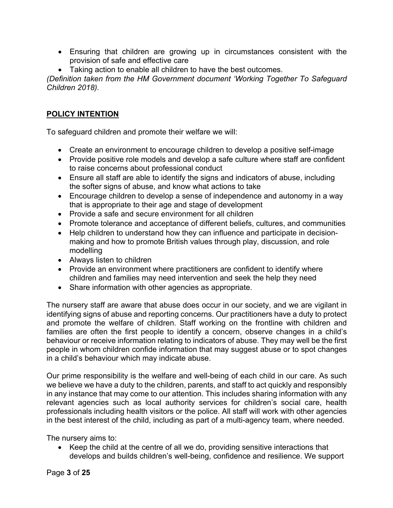- Ensuring that children are growing up in circumstances consistent with the provision of safe and effective care
- Taking action to enable all children to have the best outcomes.

*(Definition taken from the HM Government document 'Working Together To Safeguard Children 2018).*

# **POLICY INTENTION**

To safeguard children and promote their welfare we will:

- Create an environment to encourage children to develop a positive self-image
- Provide positive role models and develop a safe culture where staff are confident to raise concerns about professional conduct
- Ensure all staff are able to identify the signs and indicators of abuse, including the softer signs of abuse, and know what actions to take
- Encourage children to develop a sense of independence and autonomy in a way that is appropriate to their age and stage of development
- Provide a safe and secure environment for all children
- Promote tolerance and acceptance of different beliefs, cultures, and communities
- Help children to understand how they can influence and participate in decisionmaking and how to promote British values through play, discussion, and role modelling
- Always listen to children
- Provide an environment where practitioners are confident to identify where children and families may need intervention and seek the help they need
- Share information with other agencies as appropriate.

The nursery staff are aware that abuse does occur in our society, and we are vigilant in identifying signs of abuse and reporting concerns. Our practitioners have a duty to protect and promote the welfare of children. Staff working on the frontline with children and families are often the first people to identify a concern, observe changes in a child's behaviour or receive information relating to indicators of abuse. They may well be the first people in whom children confide information that may suggest abuse or to spot changes in a child's behaviour which may indicate abuse.

Our prime responsibility is the welfare and well-being of each child in our care. As such we believe we have a duty to the children, parents, and staff to act quickly and responsibly in any instance that may come to our attention. This includes sharing information with any relevant agencies such as local authority services for children's social care, health professionals including health visitors or the police. All staff will work with other agencies in the best interest of the child, including as part of a multi-agency team, where needed.

The nursery aims to:

• Keep the child at the centre of all we do, providing sensitive interactions that develops and builds children's well-being, confidence and resilience. We support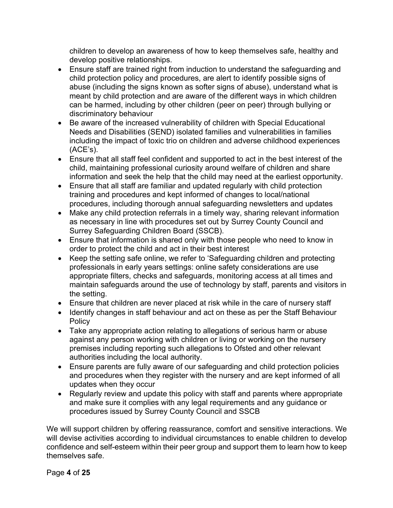children to develop an awareness of how to keep themselves safe, healthy and develop positive relationships.

- Ensure staff are trained right from induction to understand the safeguarding and child protection policy and procedures, are alert to identify possible signs of abuse (including the signs known as softer signs of abuse), understand what is meant by child protection and are aware of the different ways in which children can be harmed, including by other children (peer on peer) through bullying or discriminatory behaviour
- Be aware of the increased vulnerability of children with Special Educational Needs and Disabilities (SEND) isolated families and vulnerabilities in families including the impact of toxic trio on children and adverse childhood experiences  $(ACE's)$ .
- Ensure that all staff feel confident and supported to act in the best interest of the child, maintaining professional curiosity around welfare of children and share information and seek the help that the child may need at the earliest opportunity.
- Ensure that all staff are familiar and updated regularly with child protection training and procedures and kept informed of changes to local/national procedures, including thorough annual safeguarding newsletters and updates
- Make any child protection referrals in a timely way, sharing relevant information as necessary in line with procedures set out by Surrey County Council and Surrey Safeguarding Children Board (SSCB).
- Ensure that information is shared only with those people who need to know in order to protect the child and act in their best interest
- Keep the setting safe online, we refer to 'Safeguarding children and protecting professionals in early years settings: online safety considerations are use appropriate filters, checks and safeguards, monitoring access at all times and maintain safeguards around the use of technology by staff, parents and visitors in the setting.
- Ensure that children are never placed at risk while in the care of nursery staff
- Identify changes in staff behaviour and act on these as per the Staff Behaviour **Policy**
- Take any appropriate action relating to allegations of serious harm or abuse against any person working with children or living or working on the nursery premises including reporting such allegations to Ofsted and other relevant authorities including the local authority.
- Ensure parents are fully aware of our safeguarding and child protection policies and procedures when they register with the nursery and are kept informed of all updates when they occur
- Regularly review and update this policy with staff and parents where appropriate and make sure it complies with any legal requirements and any guidance or procedures issued by Surrey County Council and SSCB

We will support children by offering reassurance, comfort and sensitive interactions. We will devise activities according to individual circumstances to enable children to develop confidence and self-esteem within their peer group and support them to learn how to keep themselves safe.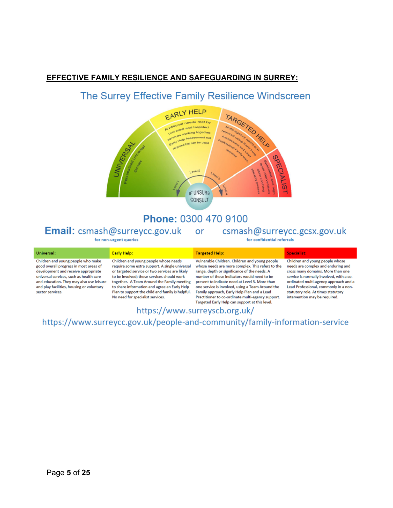# **EFFECTIVE FAMILY RESILIENCE AND SAFEGUARDING IN SURREY:**

# The Surrey Effective Family Resilience Windscreen



# Phone: 0300 470 9100

# Email: csmash@surreycc.gov.uk or csmash@surreycc.gcsx.gov.uk

for non-urgent queries

for confidential referrals

| Universal:                                                                                                                                                                                                                                                                  | <b>Early Help:</b>                                                                                                                                                                                                                                                                                                                        | <b>Targeted Help:</b>                                                                                                                                                                                                                                                                                                                                  | Specialist:                                                                                                                                                                                                                                                                    |
|-----------------------------------------------------------------------------------------------------------------------------------------------------------------------------------------------------------------------------------------------------------------------------|-------------------------------------------------------------------------------------------------------------------------------------------------------------------------------------------------------------------------------------------------------------------------------------------------------------------------------------------|--------------------------------------------------------------------------------------------------------------------------------------------------------------------------------------------------------------------------------------------------------------------------------------------------------------------------------------------------------|--------------------------------------------------------------------------------------------------------------------------------------------------------------------------------------------------------------------------------------------------------------------------------|
| Children and young people who make<br>good overall progress in most areas of<br>development and receive appropriate<br>universal services, such as health care<br>and education. They may also use leisure<br>and play facilities, housing or voluntary<br>sector services. | Children and young people whose needs<br>require some extra support. A single universal<br>or targeted service or two services are likely<br>to be involved; these services should work<br>together. A Team Around the Family meeting<br>to share information and agree an Early Help<br>Plan to support the child and family is helpful. | Vulnerable Children. Children and young people<br>whose needs are more complex. This refers to the<br>range, depth or significance of the needs. A<br>number of these indicators would need to be<br>present to indicate need at Level 3. More than<br>one service is involved, using a Team Around the<br>Family approach, Early Help Plan and a Lead | Children and young people whose<br>needs are complex and enduring and<br>cross many domains. More than one<br>service is normally involved, with a co-<br>ordinated multi-agency approach and a<br>Lead Professional, commonly in a non-<br>statutory role. At times statutory |
|                                                                                                                                                                                                                                                                             | No need for specialist services.                                                                                                                                                                                                                                                                                                          | Practitioner to co-ordinate multi-agency support.<br>Targeted Early Help can support at this level.                                                                                                                                                                                                                                                    | intervention may be required.                                                                                                                                                                                                                                                  |

# https://www.surreyscb.org.uk/

https://www.surreycc.gov.uk/people-and-community/family-information-service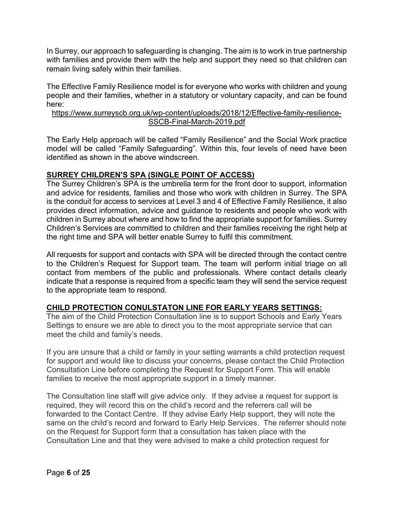In Surrey, our approach to safeguarding is changing. The aim is to work in true partnership with families and provide them with the help and support they need so that children can remain living safely within their families.

The Effective Family Resilience model is for everyone who works with children and young people and their families, whether in a statutory or voluntary capacity, and can be found here:

#### https://www.surreyscb.org.uk/wp-content/uploads/2018/12/Effective-family-resilience-SSCB-Final-March-2019.pdf

The Early Help approach will be called "Family Resilience" and the Social Work practice model will be called "Family Safeguarding". Within this, four levels of need have been identified as shown in the above windscreen.

#### **SURREY CHILDREN'S SPA (SINGLE POINT OF ACCESS)**

The Surrey Children's SPA is the umbrella term for the front door to support, information and advice for residents, families and those who work with children in Surrey. The SPA is the conduit for access to services at Level 3 and 4 of Effective Family Resilience, it also provides direct information, advice and guidance to residents and people who work with children in Surrey about where and how to find the appropriate support for families. Surrey Children's Services are committed to children and their families receiving the right help at the right time and SPA will better enable Surrey to fulfil this commitment.

All requests for support and contacts with SPA will be directed through the contact centre to the Children's Request for Support team. The team will perform initial triage on all contact from members of the public and professionals. Where contact details clearly indicate that a response is required from a specific team they will send the service request to the appropriate team to respond.

# **CHILD PROTECTION CONULSTATON LINE FOR EARLY YEARS SETTINGS:**

The aim of the Child Protection Consultation line is to support Schools and Early Years Settings to ensure we are able to direct you to the most appropriate service that can meet the child and family's needs.

If you are unsure that a child or family in your setting warrants a child protection request for support and would like to discuss your concerns, please contact the Child Protection Consultation Line before completing the Request for Support Form. This will enable families to receive the most appropriate support in a timely manner.

The Consultation line staff will give advice only. If they advise a request for support is required, they will record this on the child's record and the referrers call will be forwarded to the Contact Centre. If they advise Early Help support, they will note the same on the child's record and forward to Early Help Services. The referrer should note on the Request for Support form that a consultation has taken place with the Consultation Line and that they were advised to make a child protection request for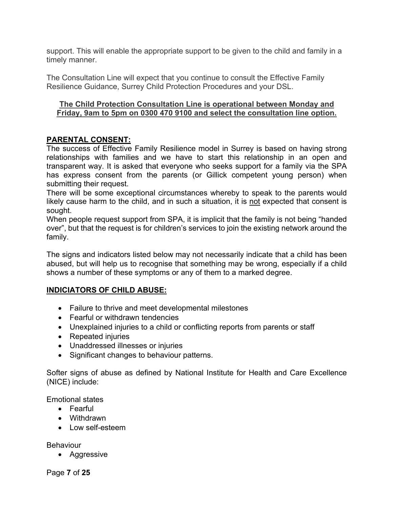support. This will enable the appropriate support to be given to the child and family in a timely manner.

The Consultation Line will expect that you continue to consult the Effective Family Resilience Guidance, Surrey Child Protection Procedures and your DSL.

#### **The Child Protection Consultation Line is operational between Monday and Friday, 9am to 5pm on 0300 470 9100 and select the consultation line option.**

# **PARENTAL CONSENT:**

The success of Effective Family Resilience model in Surrey is based on having strong relationships with families and we have to start this relationship in an open and transparent way. It is asked that everyone who seeks support for a family via the SPA has express consent from the parents (or Gillick competent young person) when submitting their request.

There will be some exceptional circumstances whereby to speak to the parents would likely cause harm to the child, and in such a situation, it is not expected that consent is sought.

When people request support from SPA, it is implicit that the family is not being "handed over", but that the request is for children's services to join the existing network around the family.

The signs and indicators listed below may not necessarily indicate that a child has been abused, but will help us to recognise that something may be wrong, especially if a child shows a number of these symptoms or any of them to a marked degree.

# **INDICIATORS OF CHILD ABUSE:**

- Failure to thrive and meet developmental milestones
- Fearful or withdrawn tendencies
- Unexplained injuries to a child or conflicting reports from parents or staff
- Repeated injuries
- Unaddressed illnesses or injuries
- Significant changes to behaviour patterns.

Softer signs of abuse as defined by National Institute for Health and Care Excellence (NICE) include:

Emotional states

- Fearful
- Withdrawn
- Low self-esteem

**Behaviour** 

• Aggressive

Page **7** of **25**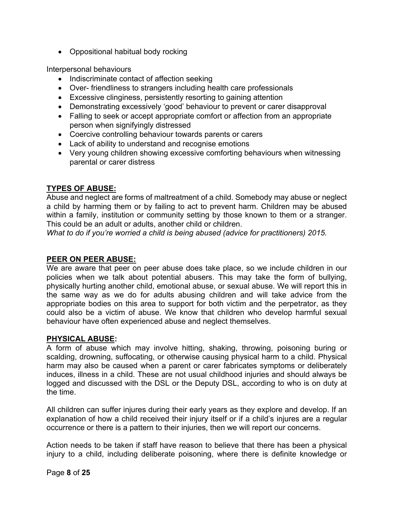• Oppositional habitual body rocking

Interpersonal behaviours

- Indiscriminate contact of affection seeking
- Over- friendliness to strangers including health care professionals
- Excessive clinginess, persistently resorting to gaining attention
- Demonstrating excessively 'good' behaviour to prevent or carer disapproval
- Falling to seek or accept appropriate comfort or affection from an appropriate person when signifyingly distressed
- Coercive controlling behaviour towards parents or carers
- Lack of ability to understand and recognise emotions
- Very young children showing excessive comforting behaviours when witnessing parental or carer distress

# **TYPES OF ABUSE:**

Abuse and neglect are forms of maltreatment of a child. Somebody may abuse or neglect a child by harming them or by failing to act to prevent harm. Children may be abused within a family, institution or community setting by those known to them or a stranger. This could be an adult or adults, another child or children.

*What to do if you're worried a child is being abused (advice for practitioners) 2015.*

#### **PEER ON PEER ABUSE:**

We are aware that peer on peer abuse does take place, so we include children in our policies when we talk about potential abusers. This may take the form of bullying, physically hurting another child, emotional abuse, or sexual abuse. We will report this in the same way as we do for adults abusing children and will take advice from the appropriate bodies on this area to support for both victim and the perpetrator, as they could also be a victim of abuse. We know that children who develop harmful sexual behaviour have often experienced abuse and neglect themselves.

#### **PHYSICAL ABUSE:**

A form of abuse which may involve hitting, shaking, throwing, poisoning buring or scalding, drowning, suffocating, or otherwise causing physical harm to a child. Physical harm may also be caused when a parent or carer fabricates symptoms or deliberately induces, illness in a child. These are not usual childhood injuries and should always be logged and discussed with the DSL or the Deputy DSL, according to who is on duty at the time.

All children can suffer injures during their early years as they explore and develop. If an explanation of how a child received their injury itself or if a child's injures are a regular occurrence or there is a pattern to their injuries, then we will report our concerns.

Action needs to be taken if staff have reason to believe that there has been a physical injury to a child, including deliberate poisoning, where there is definite knowledge or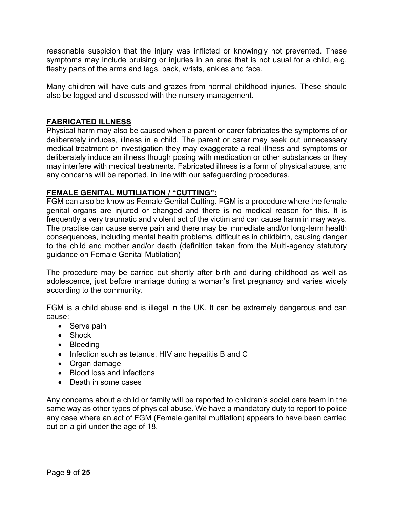reasonable suspicion that the injury was inflicted or knowingly not prevented. These symptoms may include bruising or injuries in an area that is not usual for a child, e.g. fleshy parts of the arms and legs, back, wrists, ankles and face.

Many children will have cuts and grazes from normal childhood injuries. These should also be logged and discussed with the nursery management.

### **FABRICATED ILLNESS**

Physical harm may also be caused when a parent or carer fabricates the symptoms of or deliberately induces, illness in a child. The parent or carer may seek out unnecessary medical treatment or investigation they may exaggerate a real illness and symptoms or deliberately induce an illness though posing with medication or other substances or they may interfere with medical treatments. Fabricated illness is a form of physical abuse, and any concerns will be reported, in line with our safeguarding procedures.

# **FEMALE GENITAL MUTILIATION / "CUTTING":**

FGM can also be know as Female Genital Cutting. FGM is a procedure where the female genital organs are injured or changed and there is no medical reason for this. It is frequently a very traumatic and violent act of the victim and can cause harm in may ways. The practise can cause serve pain and there may be immediate and/or long-term health consequences, including mental health problems, difficulties in childbirth, causing danger to the child and mother and/or death (definition taken from the Multi-agency statutory guidance on Female Genital Mutilation)

The procedure may be carried out shortly after birth and during childhood as well as adolescence, just before marriage during a woman's first pregnancy and varies widely according to the community.

FGM is a child abuse and is illegal in the UK. It can be extremely dangerous and can cause:

- Serve pain
- Shock
- Bleeding
- Infection such as tetanus, HIV and hepatitis B and C
- Organ damage
- Blood loss and infections
- Death in some cases

Any concerns about a child or family will be reported to children's social care team in the same way as other types of physical abuse. We have a mandatory duty to report to police any case where an act of FGM (Female genital mutilation) appears to have been carried out on a girl under the age of 18.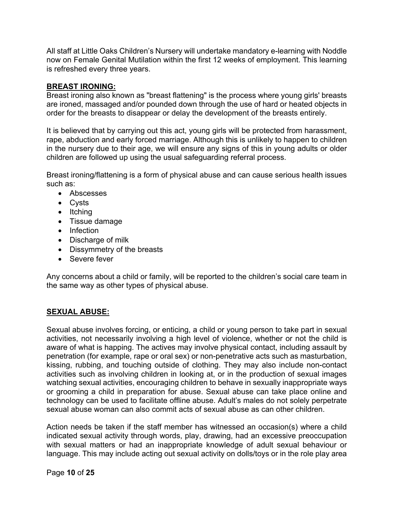All staff at Little Oaks Children's Nursery will undertake mandatory e-learning with Noddle now on Female Genital Mutilation within the first 12 weeks of employment. This learning is refreshed every three years.

### **BREAST IRONING:**

Breast ironing also known as "breast flattening" is the process where young girls' breasts are ironed, massaged and/or pounded down through the use of hard or heated objects in order for the breasts to disappear or delay the development of the breasts entirely.

It is believed that by carrying out this act, young girls will be protected from harassment, rape, abduction and early forced marriage. Although this is unlikely to happen to children in the nursery due to their age, we will ensure any signs of this in young adults or older children are followed up using the usual safeguarding referral process.

Breast ironing/flattening is a form of physical abuse and can cause serious health issues such as:

- Abscesses
- Cysts
- Itching
- Tissue damage
- Infection
- Discharge of milk
- Dissymmetry of the breasts
- Severe fever

Any concerns about a child or family, will be reported to the children's social care team in the same way as other types of physical abuse.

#### **SEXUAL ABUSE:**

Sexual abuse involves forcing, or enticing, a child or young person to take part in sexual activities, not necessarily involving a high level of violence, whether or not the child is aware of what is happing. The actives may involve physical contact, including assault by penetration (for example, rape or oral sex) or non-penetrative acts such as masturbation, kissing, rubbing, and touching outside of clothing. They may also include non-contact activities such as involving children in looking at, or in the production of sexual images watching sexual activities, encouraging children to behave in sexually inappropriate ways or grooming a child in preparation for abuse. Sexual abuse can take place online and technology can be used to facilitate offline abuse. Adult's males do not solely perpetrate sexual abuse woman can also commit acts of sexual abuse as can other children.

Action needs be taken if the staff member has witnessed an occasion(s) where a child indicated sexual activity through words, play, drawing, had an excessive preoccupation with sexual matters or had an inappropriate knowledge of adult sexual behaviour or language. This may include acting out sexual activity on dolls/toys or in the role play area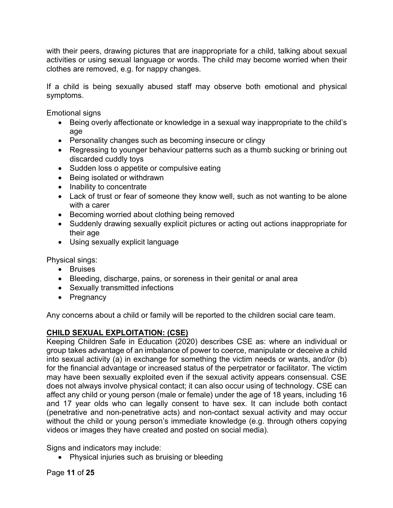with their peers, drawing pictures that are inappropriate for a child, talking about sexual activities or using sexual language or words. The child may become worried when their clothes are removed, e.g. for nappy changes.

If a child is being sexually abused staff may observe both emotional and physical symptoms.

Emotional signs

- Being overly affectionate or knowledge in a sexual way inappropriate to the child's age
- Personality changes such as becoming insecure or clingy
- Regressing to younger behaviour patterns such as a thumb sucking or brining out discarded cuddly toys
- Sudden loss o appetite or compulsive eating
- Being isolated or withdrawn
- Inability to concentrate
- Lack of trust or fear of someone they know well, such as not wanting to be alone with a carer
- Becoming worried about clothing being removed
- Suddenly drawing sexually explicit pictures or acting out actions inappropriate for their age
- Using sexually explicit language

Physical sings:

- Bruises
- Bleeding, discharge, pains, or soreness in their genital or anal area
- Sexually transmitted infections
- Pregnancy

Any concerns about a child or family will be reported to the children social care team.

# **CHILD SEXUAL EXPLOITATION: (CSE)**

Keeping Children Safe in Education (2020) describes CSE as: where an individual or group takes advantage of an imbalance of power to coerce, manipulate or deceive a child into sexual activity (a) in exchange for something the victim needs or wants, and/or (b) for the financial advantage or increased status of the perpetrator or facilitator. The victim may have been sexually exploited even if the sexual activity appears consensual. CSE does not always involve physical contact; it can also occur using of technology. CSE can affect any child or young person (male or female) under the age of 18 years, including 16 and 17 year olds who can legally consent to have sex. It can include both contact (penetrative and non-penetrative acts) and non-contact sexual activity and may occur without the child or young person's immediate knowledge (e.g. through others copying videos or images they have created and posted on social media).

Signs and indicators may include:

• Physical injuries such as bruising or bleeding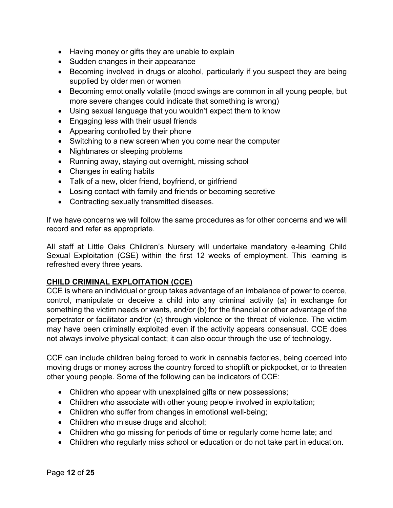- Having money or gifts they are unable to explain
- Sudden changes in their appearance
- Becoming involved in drugs or alcohol, particularly if you suspect they are being supplied by older men or women
- Becoming emotionally volatile (mood swings are common in all young people, but more severe changes could indicate that something is wrong)
- Using sexual language that you wouldn't expect them to know
- Engaging less with their usual friends
- Appearing controlled by their phone
- Switching to a new screen when you come near the computer
- Nightmares or sleeping problems
- Running away, staying out overnight, missing school
- Changes in eating habits
- Talk of a new, older friend, boyfriend, or girlfriend
- Losing contact with family and friends or becoming secretive
- Contracting sexually transmitted diseases.

If we have concerns we will follow the same procedures as for other concerns and we will record and refer as appropriate.

All staff at Little Oaks Children's Nursery will undertake mandatory e-learning Child Sexual Exploitation (CSE) within the first 12 weeks of employment. This learning is refreshed every three years.

# **CHILD CRIMINAL EXPLOITATION (CCE)**

CCE is where an individual or group takes advantage of an imbalance of power to coerce, control, manipulate or deceive a child into any criminal activity (a) in exchange for something the victim needs or wants, and/or (b) for the financial or other advantage of the perpetrator or facilitator and/or (c) through violence or the threat of violence. The victim may have been criminally exploited even if the activity appears consensual. CCE does not always involve physical contact; it can also occur through the use of technology.

CCE can include children being forced to work in cannabis factories, being coerced into moving drugs or money across the country forced to shoplift or pickpocket, or to threaten other young people. Some of the following can be indicators of CCE:

- Children who appear with unexplained gifts or new possessions;
- Children who associate with other young people involved in exploitation;
- Children who suffer from changes in emotional well-being;
- Children who misuse drugs and alcohol;
- Children who go missing for periods of time or regularly come home late; and
- Children who regularly miss school or education or do not take part in education.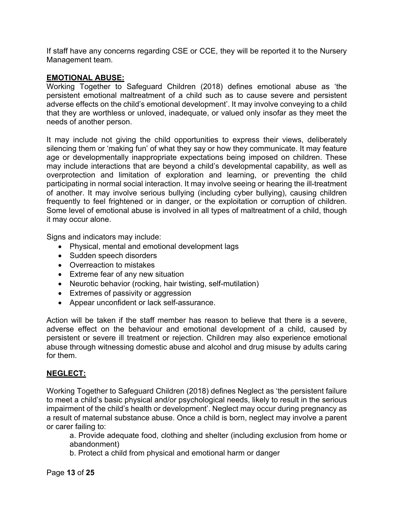If staff have any concerns regarding CSE or CCE, they will be reported it to the Nursery Management team.

#### **EMOTIONAL ABUSE:**

Working Together to Safeguard Children (2018) defines emotional abuse as 'the persistent emotional maltreatment of a child such as to cause severe and persistent adverse effects on the child's emotional development'. It may involve conveying to a child that they are worthless or unloved, inadequate, or valued only insofar as they meet the needs of another person.

It may include not giving the child opportunities to express their views, deliberately silencing them or 'making fun' of what they say or how they communicate. It may feature age or developmentally inappropriate expectations being imposed on children. These may include interactions that are beyond a child's developmental capability, as well as overprotection and limitation of exploration and learning, or preventing the child participating in normal social interaction. It may involve seeing or hearing the ill-treatment of another. It may involve serious bullying (including cyber bullying), causing children frequently to feel frightened or in danger, or the exploitation or corruption of children. Some level of emotional abuse is involved in all types of maltreatment of a child, though it may occur alone.

Signs and indicators may include:

- Physical, mental and emotional development lags
- Sudden speech disorders
- Overreaction to mistakes
- Extreme fear of any new situation
- Neurotic behavior (rocking, hair twisting, self-mutilation)
- Extremes of passivity or aggression
- Appear unconfident or lack self-assurance.

Action will be taken if the staff member has reason to believe that there is a severe, adverse effect on the behaviour and emotional development of a child, caused by persistent or severe ill treatment or rejection. Children may also experience emotional abuse through witnessing domestic abuse and alcohol and drug misuse by adults caring for them.

# **NEGLECT:**

Working Together to Safeguard Children (2018) defines Neglect as 'the persistent failure to meet a child's basic physical and/or psychological needs, likely to result in the serious impairment of the child's health or development'. Neglect may occur during pregnancy as a result of maternal substance abuse. Once a child is born, neglect may involve a parent or carer failing to:

a. Provide adequate food, clothing and shelter (including exclusion from home or abandonment)

b. Protect a child from physical and emotional harm or danger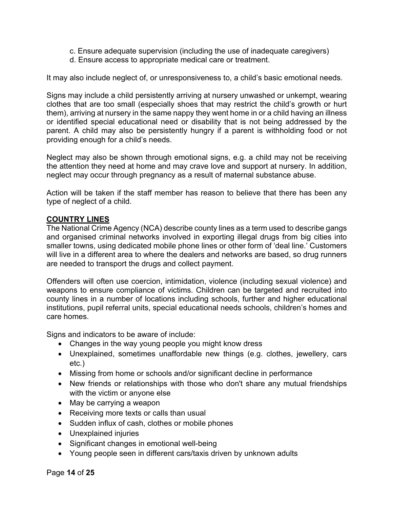- c. Ensure adequate supervision (including the use of inadequate caregivers)
- d. Ensure access to appropriate medical care or treatment.

It may also include neglect of, or unresponsiveness to, a child's basic emotional needs.

Signs may include a child persistently arriving at nursery unwashed or unkempt, wearing clothes that are too small (especially shoes that may restrict the child's growth or hurt them), arriving at nursery in the same nappy they went home in or a child having an illness or identified special educational need or disability that is not being addressed by the parent. A child may also be persistently hungry if a parent is withholding food or not providing enough for a child's needs.

Neglect may also be shown through emotional signs, e.g. a child may not be receiving the attention they need at home and may crave love and support at nursery. In addition, neglect may occur through pregnancy as a result of maternal substance abuse.

Action will be taken if the staff member has reason to believe that there has been any type of neglect of a child.

#### **COUNTRY LINES**

The National Crime Agency (NCA) describe county lines as a term used to describe gangs and organised criminal networks involved in exporting illegal drugs from big cities into smaller towns, using dedicated mobile phone lines or other form of 'deal line.' Customers will live in a different area to where the dealers and networks are based, so drug runners are needed to transport the drugs and collect payment.

Offenders will often use coercion, intimidation, violence (including sexual violence) and weapons to ensure compliance of victims. Children can be targeted and recruited into county lines in a number of locations including schools, further and higher educational institutions, pupil referral units, special educational needs schools, children's homes and care homes.

Signs and indicators to be aware of include:

- Changes in the way young people you might know dress
- Unexplained, sometimes unaffordable new things (e.g. clothes, jewellery, cars etc.)
- Missing from home or schools and/or significant decline in performance
- New friends or relationships with those who don't share any mutual friendships with the victim or anyone else
- May be carrying a weapon
- Receiving more texts or calls than usual
- Sudden influx of cash, clothes or mobile phones
- Unexplained injuries
- Significant changes in emotional well-being
- Young people seen in different cars/taxis driven by unknown adults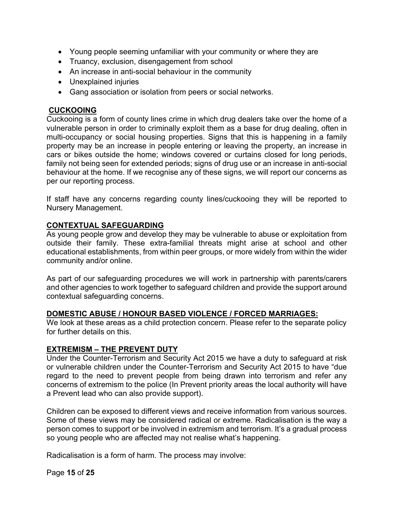- Young people seeming unfamiliar with your community or where they are
- Truancy, exclusion, disengagement from school
- An increase in anti-social behaviour in the community
- Unexplained injuries
- Gang association or isolation from peers or social networks.

#### **CUCKOOING**

Cuckooing is a form of county lines crime in which drug dealers take over the home of a vulnerable person in order to criminally exploit them as a base for drug dealing, often in multi-occupancy or social housing properties. Signs that this is happening in a family property may be an increase in people entering or leaving the property, an increase in cars or bikes outside the home; windows covered or curtains closed for long periods, family not being seen for extended periods; signs of drug use or an increase in anti-social behaviour at the home. If we recognise any of these signs, we will report our concerns as per our reporting process.

If staff have any concerns regarding county lines/cuckooing they will be reported to Nursery Management.

#### **CONTEXTUAL SAFEGUARDING**

As young people grow and develop they may be vulnerable to abuse or exploitation from outside their family. These extra-familial threats might arise at school and other educational establishments, from within peer groups, or more widely from within the wider community and/or online.

As part of our safeguarding procedures we will work in partnership with parents/carers and other agencies to work together to safeguard children and provide the support around contextual safeguarding concerns.

#### **DOMESTIC ABUSE / HONOUR BASED VIOLENCE / FORCED MARRIAGES:**

We look at these areas as a child protection concern. Please refer to the separate policy for further details on this.

# **EXTREMISM – THE PREVENT DUTY**

Under the Counter-Terrorism and Security Act 2015 we have a duty to safeguard at risk or vulnerable children under the Counter-Terrorism and Security Act 2015 to have "due regard to the need to prevent people from being drawn into terrorism and refer any concerns of extremism to the police (In Prevent priority areas the local authority will have a Prevent lead who can also provide support).

Children can be exposed to different views and receive information from various sources. Some of these views may be considered radical or extreme. Radicalisation is the way a person comes to support or be involved in extremism and terrorism. It's a gradual process so young people who are affected may not realise what's happening.

Radicalisation is a form of harm. The process may involve: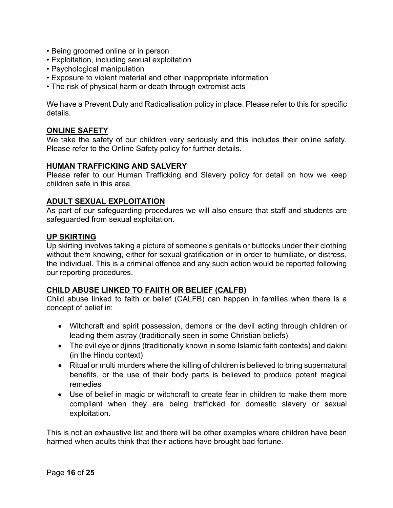- Being groomed online or in person
- Exploitation, including sexual exploitation
- Psychological manipulation
- Exposure to violent material and other inappropriate information
- The risk of physical harm or death through extremist acts

We have a Prevent Duty and Radicalisation policy in place. Please refer to this for specific details.

#### **ONLINE SAFETY**

We take the safety of our children very seriously and this includes their online safety. Please refer to the Online Safety policy for further details.

#### **HUMAN TRAFFICKING AND SALVERY**

Please refer to our Human Trafficking and Slavery policy for detail on how we keep children safe in this area.

#### **ADULT SEXUAL EXPLOITATION**

As part of our safeguarding procedures we will also ensure that staff and students are safeguarded from sexual exploitation.

#### **UP SKIRTING**

Up skirting involves taking a picture of someone's genitals or buttocks under their clothing without them knowing, either for sexual gratification or in order to humiliate, or distress, the individual. This is a criminal offence and any such action would be reported following our reporting procedures.

#### **CHILD ABUSE LINKED TO FAIITH OR BELIEF (CALFB)**

Child abuse linked to faith or belief (CALFB) can happen in families when there is a concept of belief in:

- Witchcraft and spirit possession, demons or the devil acting through children or leading them astray (traditionally seen in some Christian beliefs)
- The evil eye or djinns (traditionally known in some Islamic faith contexts) and dakini (in the Hindu context)
- Ritual or multi murders where the killing of children is believed to bring supernatural benefits, or the use of their body parts is believed to produce potent magical remedies
- Use of belief in magic or witchcraft to create fear in children to make them more compliant when they are being trafficked for domestic slavery or sexual exploitation.

This is not an exhaustive list and there will be other examples where children have been harmed when adults think that their actions have brought bad fortune.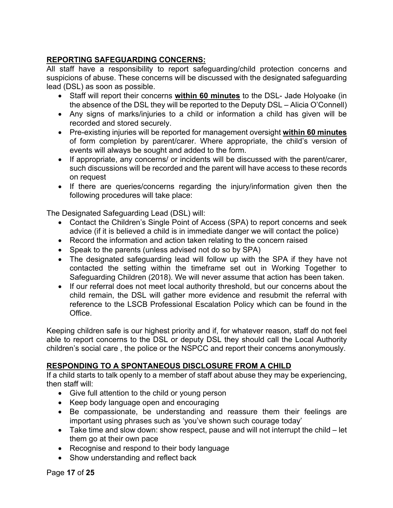# **REPORTING SAFEGUARDING CONCERNS:**

All staff have a responsibility to report safeguarding/child protection concerns and suspicions of abuse. These concerns will be discussed with the designated safeguarding lead (DSL) as soon as possible.

- Staff will report their concerns **within 60 minutes** to the DSL- Jade Holyoake (in the absence of the DSL they will be reported to the Deputy DSL – Alicia O'Connell)
- Any signs of marks/injuries to a child or information a child has given will be recorded and stored securely.
- Pre-existing injuries will be reported for management oversight **within 60 minutes** of form completion by parent/carer. Where appropriate, the child's version of events will always be sought and added to the form.
- If appropriate, any concerns/ or incidents will be discussed with the parent/carer, such discussions will be recorded and the parent will have access to these records on request
- If there are queries/concerns regarding the injury/information given then the following procedures will take place:

The Designated Safeguarding Lead (DSL) will:

- Contact the Children's Single Point of Access (SPA) to report concerns and seek advice (if it is believed a child is in immediate danger we will contact the police)
- Record the information and action taken relating to the concern raised
- Speak to the parents (unless advised not do so by SPA)
- The designated safeguarding lead will follow up with the SPA if they have not contacted the setting within the timeframe set out in Working Together to Safeguarding Children (2018). We will never assume that action has been taken.
- If our referral does not meet local authority threshold, but our concerns about the child remain, the DSL will gather more evidence and resubmit the referral with reference to the LSCB Professional Escalation Policy which can be found in the Office.

Keeping children safe is our highest priority and if, for whatever reason, staff do not feel able to report concerns to the DSL or deputy DSL they should call the Local Authority children's social care , the police or the NSPCC and report their concerns anonymously.

# **RESPONDING TO A SPONTANEOUS DISCLOSURE FROM A CHILD**

If a child starts to talk openly to a member of staff about abuse they may be experiencing, then staff will:

- Give full attention to the child or young person
- Keep body language open and encouraging
- Be compassionate, be understanding and reassure them their feelings are important using phrases such as 'you've shown such courage today'
- Take time and slow down: show respect, pause and will not interrupt the child let them go at their own pace
- Recognise and respond to their body language
- Show understanding and reflect back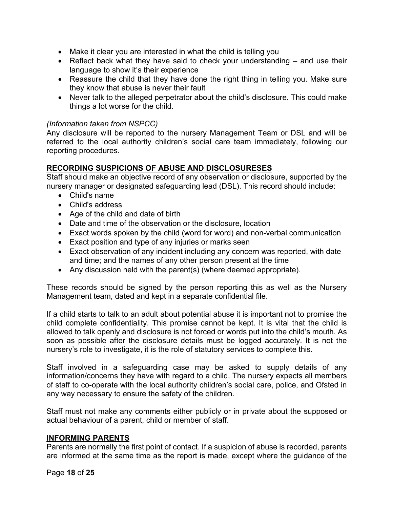- Make it clear you are interested in what the child is telling you
- Reflect back what they have said to check your understanding and use their language to show it's their experience
- Reassure the child that they have done the right thing in telling you. Make sure they know that abuse is never their fault
- Never talk to the alleged perpetrator about the child's disclosure. This could make things a lot worse for the child.

#### *(Information taken from NSPCC)*

Any disclosure will be reported to the nursery Management Team or DSL and will be referred to the local authority children's social care team immediately, following our reporting procedures.

#### **RECORDING SUSPICIONS OF ABUSE AND DISCLOSURESES**

Staff should make an objective record of any observation or disclosure, supported by the nursery manager or designated safeguarding lead (DSL). This record should include:

- Child's name
- Child's address
- Age of the child and date of birth
- Date and time of the observation or the disclosure, location
- Exact words spoken by the child (word for word) and non-verbal communication
- Exact position and type of any injuries or marks seen
- Exact observation of any incident including any concern was reported, with date and time; and the names of any other person present at the time
- Any discussion held with the parent(s) (where deemed appropriate).

These records should be signed by the person reporting this as well as the Nursery Management team, dated and kept in a separate confidential file.

If a child starts to talk to an adult about potential abuse it is important not to promise the child complete confidentiality. This promise cannot be kept. It is vital that the child is allowed to talk openly and disclosure is not forced or words put into the child's mouth. As soon as possible after the disclosure details must be logged accurately. It is not the nursery's role to investigate, it is the role of statutory services to complete this.

Staff involved in a safeguarding case may be asked to supply details of any information/concerns they have with regard to a child. The nursery expects all members of staff to co-operate with the local authority children's social care, police, and Ofsted in any way necessary to ensure the safety of the children.

Staff must not make any comments either publicly or in private about the supposed or actual behaviour of a parent, child or member of staff.

#### **INFORMING PARENTS**

Parents are normally the first point of contact. If a suspicion of abuse is recorded, parents are informed at the same time as the report is made, except where the guidance of the

Page **18** of **25**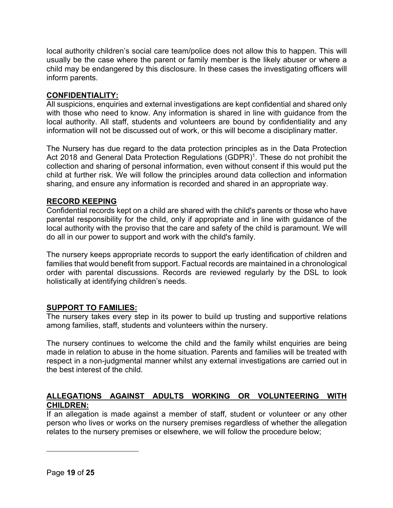local authority children's social care team/police does not allow this to happen. This will usually be the case where the parent or family member is the likely abuser or where a child may be endangered by this disclosure. In these cases the investigating officers will inform parents.

#### **CONFIDENTIALITY:**

All suspicions, enquiries and external investigations are kept confidential and shared only with those who need to know. Any information is shared in line with guidance from the local authority. All staff, students and volunteers are bound by confidentiality and any information will not be discussed out of work, or this will become a disciplinary matter.

The Nursery has due regard to the data protection principles as in the Data Protection Act 2018 and General Data Protection Regulations (GDPR)<sup>1</sup>. These do not prohibit the collection and sharing of personal information, even without consent if this would put the child at further risk. We will follow the principles around data collection and information sharing, and ensure any information is recorded and shared in an appropriate way.

#### **RECORD KEEPING**

Confidential records kept on a child are shared with the child's parents or those who have parental responsibility for the child, only if appropriate and in line with guidance of the local authority with the proviso that the care and safety of the child is paramount. We will do all in our power to support and work with the child's family.

The nursery keeps appropriate records to support the early identification of children and families that would benefit from support. Factual records are maintained in a chronological order with parental discussions. Records are reviewed regularly by the DSL to look holistically at identifying children's needs.

# **SUPPORT TO FAMILIES:**

The nursery takes every step in its power to build up trusting and supportive relations among families, staff, students and volunteers within the nursery.

The nursery continues to welcome the child and the family whilst enquiries are being made in relation to abuse in the home situation. Parents and families will be treated with respect in a non-judgmental manner whilst any external investigations are carried out in the best interest of the child.

# **ALLEGATIONS AGAINST ADULTS WORKING OR VOLUNTEERING WITH CHILDREN:**

If an allegation is made against a member of staff, student or volunteer or any other person who lives or works on the nursery premises regardless of whether the allegation relates to the nursery premises or elsewhere, we will follow the procedure below;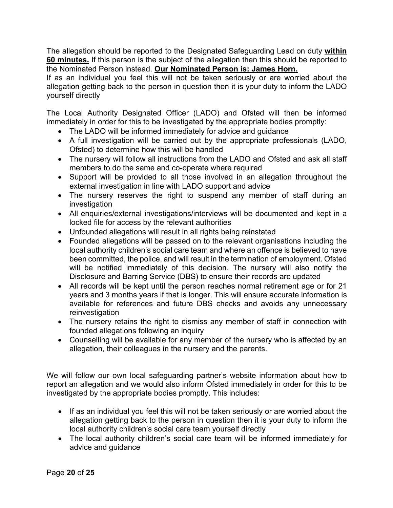The allegation should be reported to the Designated Safeguarding Lead on duty **within 60 minutes.** If this person is the subject of the allegation then this should be reported to the Nominated Person instead. **Our Nominated Person is: James Horn.** 

If as an individual you feel this will not be taken seriously or are worried about the allegation getting back to the person in question then it is your duty to inform the LADO yourself directly

The Local Authority Designated Officer (LADO) and Ofsted will then be informed immediately in order for this to be investigated by the appropriate bodies promptly:

- The LADO will be informed immediately for advice and guidance
- A full investigation will be carried out by the appropriate professionals (LADO, Ofsted) to determine how this will be handled
- The nursery will follow all instructions from the LADO and Ofsted and ask all staff members to do the same and co-operate where required
- Support will be provided to all those involved in an allegation throughout the external investigation in line with LADO support and advice
- The nursery reserves the right to suspend any member of staff during an investigation
- All enquiries/external investigations/interviews will be documented and kept in a locked file for access by the relevant authorities
- Unfounded allegations will result in all rights being reinstated
- Founded allegations will be passed on to the relevant organisations including the local authority children's social care team and where an offence is believed to have been committed, the police, and will result in the termination of employment. Ofsted will be notified immediately of this decision. The nursery will also notify the Disclosure and Barring Service (DBS) to ensure their records are updated
- All records will be kept until the person reaches normal retirement age or for 21 years and 3 months years if that is longer. This will ensure accurate information is available for references and future DBS checks and avoids any unnecessary reinvestigation
- The nursery retains the right to dismiss any member of staff in connection with founded allegations following an inquiry
- Counselling will be available for any member of the nursery who is affected by an allegation, their colleagues in the nursery and the parents.

We will follow our own local safeguarding partner's website information about how to report an allegation and we would also inform Ofsted immediately in order for this to be investigated by the appropriate bodies promptly. This includes:

- If as an individual you feel this will not be taken seriously or are worried about the allegation getting back to the person in question then it is your duty to inform the local authority children's social care team yourself directly
- The local authority children's social care team will be informed immediately for advice and guidance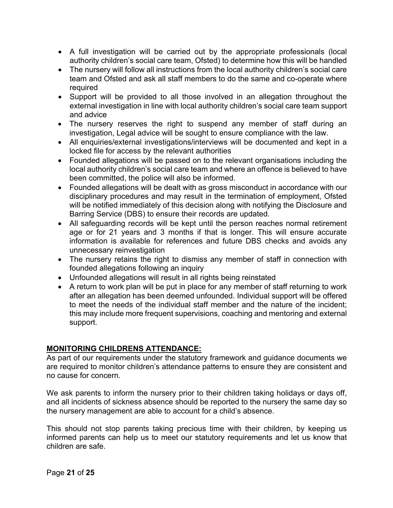- A full investigation will be carried out by the appropriate professionals (local authority children's social care team, Ofsted) to determine how this will be handled
- The nursery will follow all instructions from the local authority children's social care team and Ofsted and ask all staff members to do the same and co-operate where required
- Support will be provided to all those involved in an allegation throughout the external investigation in line with local authority children's social care team support and advice
- The nursery reserves the right to suspend any member of staff during an investigation, Legal advice will be sought to ensure compliance with the law.
- All enquiries/external investigations/interviews will be documented and kept in a locked file for access by the relevant authorities
- Founded allegations will be passed on to the relevant organisations including the local authority children's social care team and where an offence is believed to have been committed, the police will also be informed.
- Founded allegations will be dealt with as gross misconduct in accordance with our disciplinary procedures and may result in the termination of employment, Ofsted will be notified immediately of this decision along with notifying the Disclosure and Barring Service (DBS) to ensure their records are updated.
- All safeguarding records will be kept until the person reaches normal retirement age or for 21 years and 3 months if that is longer. This will ensure accurate information is available for references and future DBS checks and avoids any unnecessary reinvestigation
- The nursery retains the right to dismiss any member of staff in connection with founded allegations following an inquiry
- Unfounded allegations will result in all rights being reinstated
- A return to work plan will be put in place for any member of staff returning to work after an allegation has been deemed unfounded. Individual support will be offered to meet the needs of the individual staff member and the nature of the incident; this may include more frequent supervisions, coaching and mentoring and external support.

# **MONITORING CHILDRENS ATTENDANCE:**

As part of our requirements under the statutory framework and guidance documents we are required to monitor children's attendance patterns to ensure they are consistent and no cause for concern.

We ask parents to inform the nursery prior to their children taking holidays or days off, and all incidents of sickness absence should be reported to the nursery the same day so the nursery management are able to account for a child's absence.

This should not stop parents taking precious time with their children, by keeping us informed parents can help us to meet our statutory requirements and let us know that children are safe.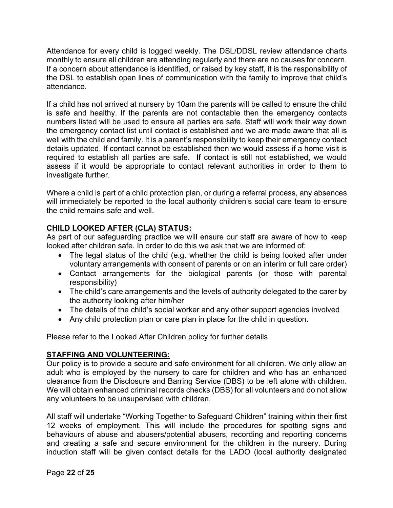Attendance for every child is logged weekly. The DSL/DDSL review attendance charts monthly to ensure all children are attending regularly and there are no causes for concern. If a concern about attendance is identified, or raised by key staff, it is the responsibility of the DSL to establish open lines of communication with the family to improve that child's attendance.

If a child has not arrived at nursery by 10am the parents will be called to ensure the child is safe and healthy. If the parents are not contactable then the emergency contacts numbers listed will be used to ensure all parties are safe. Staff will work their way down the emergency contact list until contact is established and we are made aware that all is well with the child and family. It is a parent's responsibility to keep their emergency contact details updated. If contact cannot be established then we would assess if a home visit is required to establish all parties are safe. If contact is still not established, we would assess if it would be appropriate to contact relevant authorities in order to them to investigate further.

Where a child is part of a child protection plan, or during a referral process, any absences will immediately be reported to the local authority children's social care team to ensure the child remains safe and well.

# **CHILD LOOKED AFTER (CLA) STATUS:**

As part of our safeguarding practice we will ensure our staff are aware of how to keep looked after children safe. In order to do this we ask that we are informed of:

- The legal status of the child (e.g. whether the child is being looked after under voluntary arrangements with consent of parents or on an interim or full care order)
- Contact arrangements for the biological parents (or those with parental responsibility)
- The child's care arrangements and the levels of authority delegated to the carer by the authority looking after him/her
- The details of the child's social worker and any other support agencies involved
- Any child protection plan or care plan in place for the child in question.

Please refer to the Looked After Children policy for further details

# **STAFFING AND VOLUNTEERING:**

Our policy is to provide a secure and safe environment for all children. We only allow an adult who is employed by the nursery to care for children and who has an enhanced clearance from the Disclosure and Barring Service (DBS) to be left alone with children. We will obtain enhanced criminal records checks (DBS) for all volunteers and do not allow any volunteers to be unsupervised with children.

All staff will undertake "Working Together to Safeguard Children" training within their first 12 weeks of employment. This will include the procedures for spotting signs and behaviours of abuse and abusers/potential abusers, recording and reporting concerns and creating a safe and secure environment for the children in the nursery. During induction staff will be given contact details for the LADO (local authority designated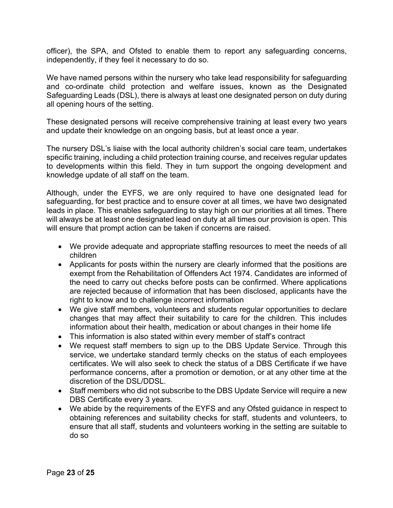officer), the SPA, and Ofsted to enable them to report any safeguarding concerns, independently, if they feel it necessary to do so.

We have named persons within the nursery who take lead responsibility for safeguarding and co-ordinate child protection and welfare issues, known as the Designated Safeguarding Leads (DSL), there is always at least one designated person on duty during all opening hours of the setting.

These designated persons will receive comprehensive training at least every two years and update their knowledge on an ongoing basis, but at least once a year.

The nursery DSL's liaise with the local authority children's social care team, undertakes specific training, including a child protection training course, and receives regular updates to developments within this field. They in turn support the ongoing development and knowledge update of all staff on the team.

Although, under the EYFS, we are only required to have one designated lead for safeguarding, for best practice and to ensure cover at all times, we have two designated leads in place. This enables safeguarding to stay high on our priorities at all times. There will always be at least one designated lead on duty at all times our provision is open. This will ensure that prompt action can be taken if concerns are raised.

- We provide adequate and appropriate staffing resources to meet the needs of all children
- Applicants for posts within the nursery are clearly informed that the positions are exempt from the Rehabilitation of Offenders Act 1974. Candidates are informed of the need to carry out checks before posts can be confirmed. Where applications are rejected because of information that has been disclosed, applicants have the right to know and to challenge incorrect information
- We give staff members, volunteers and students regular opportunities to declare changes that may affect their suitability to care for the children. This includes information about their health, medication or about changes in their home life
- This information is also stated within every member of staff's contract
- We request staff members to sign up to the DBS Update Service. Through this service, we undertake standard termly checks on the status of each employees certificates. We will also seek to check the status of a DBS Certificate if we have performance concerns, after a promotion or demotion, or at any other time at the discretion of the DSL/DDSL.
- Staff members who did not subscribe to the DBS Update Service will require a new DBS Certificate every 3 years.
- We abide by the requirements of the EYFS and any Ofsted guidance in respect to obtaining references and suitability checks for staff, students and volunteers, to ensure that all staff, students and volunteers working in the setting are suitable to do so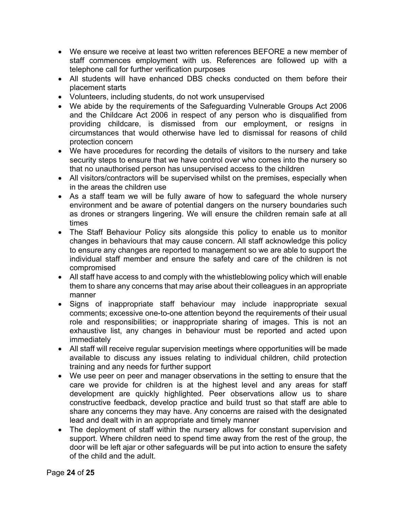- We ensure we receive at least two written references BEFORE a new member of staff commences employment with us. References are followed up with a telephone call for further verification purposes
- All students will have enhanced DBS checks conducted on them before their placement starts
- Volunteers, including students, do not work unsupervised
- We abide by the requirements of the Safeguarding Vulnerable Groups Act 2006 and the Childcare Act 2006 in respect of any person who is disqualified from providing childcare, is dismissed from our employment, or resigns in circumstances that would otherwise have led to dismissal for reasons of child protection concern
- We have procedures for recording the details of visitors to the nursery and take security steps to ensure that we have control over who comes into the nursery so that no unauthorised person has unsupervised access to the children
- All visitors/contractors will be supervised whilst on the premises, especially when in the areas the children use
- As a staff team we will be fully aware of how to safeguard the whole nursery environment and be aware of potential dangers on the nursery boundaries such as drones or strangers lingering. We will ensure the children remain safe at all times
- The Staff Behaviour Policy sits alongside this policy to enable us to monitor changes in behaviours that may cause concern. All staff acknowledge this policy to ensure any changes are reported to management so we are able to support the individual staff member and ensure the safety and care of the children is not compromised
- All staff have access to and comply with the whistleblowing policy which will enable them to share any concerns that may arise about their colleagues in an appropriate manner
- Signs of inappropriate staff behaviour may include inappropriate sexual comments; excessive one-to-one attention beyond the requirements of their usual role and responsibilities; or inappropriate sharing of images. This is not an exhaustive list, any changes in behaviour must be reported and acted upon immediately
- All staff will receive regular supervision meetings where opportunities will be made available to discuss any issues relating to individual children, child protection training and any needs for further support
- We use peer on peer and manager observations in the setting to ensure that the care we provide for children is at the highest level and any areas for staff development are quickly highlighted. Peer observations allow us to share constructive feedback, develop practice and build trust so that staff are able to share any concerns they may have. Any concerns are raised with the designated lead and dealt with in an appropriate and timely manner
- The deployment of staff within the nursery allows for constant supervision and support. Where children need to spend time away from the rest of the group, the door will be left ajar or other safeguards will be put into action to ensure the safety of the child and the adult.